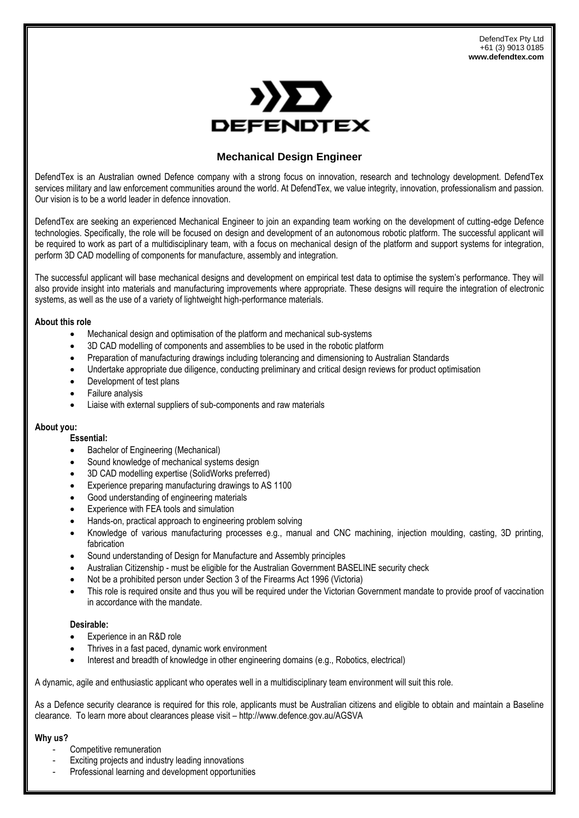

# **Mechanical Design Engineer**

DefendTex is an Australian owned Defence company with a strong focus on innovation, research and technology development. DefendTex services military and law enforcement communities around the world. At DefendTex, we value integrity, innovation, professionalism and passion. Our vision is to be a world leader in defence innovation.

DefendTex are seeking an experienced Mechanical Engineer to join an expanding team working on the development of cutting-edge Defence technologies. Specifically, the role will be focused on design and development of an autonomous robotic platform. The successful applicant will be required to work as part of a multidisciplinary team, with a focus on mechanical design of the platform and support systems for integration, perform 3D CAD modelling of components for manufacture, assembly and integration.

The successful applicant will base mechanical designs and development on empirical test data to optimise the system's performance. They will also provide insight into materials and manufacturing improvements where appropriate. These designs will require the integration of electronic systems, as well as the use of a variety of lightweight high-performance materials.

### **About this role**

- Mechanical design and optimisation of the platform and mechanical sub-systems
- 3D CAD modelling of components and assemblies to be used in the robotic platform
- Preparation of manufacturing drawings including tolerancing and dimensioning to Australian Standards
- Undertake appropriate due diligence, conducting preliminary and critical design reviews for product optimisation
- Development of test plans
- Failure analysis
- Liaise with external suppliers of sub-components and raw materials

## **About you:**

### **Essential:**

- Bachelor of Engineering (Mechanical)
- Sound knowledge of mechanical systems design
- 3D CAD modelling expertise (SolidWorks preferred)
- Experience preparing manufacturing drawings to AS 1100
- Good understanding of engineering materials
- Experience with FEA tools and simulation
- Hands-on, practical approach to engineering problem solving
- Knowledge of various manufacturing processes e.g., manual and CNC machining, injection moulding, casting, 3D printing, fabrication
- Sound understanding of Design for Manufacture and Assembly principles
- Australian Citizenship must be eligible for the Australian Government BASELINE security check
- Not be a prohibited person under Section 3 of the Firearms Act 1996 (Victoria)
- This role is required onsite and thus you will be required under the Victorian Government mandate to provide proof of vaccination in accordance with the mandate.

## **Desirable:**

- Experience in an R&D role
- Thrives in a fast paced, dynamic work environment
- Interest and breadth of knowledge in other engineering domains (e.g., Robotics, electrical)

A dynamic, agile and enthusiastic applicant who operates well in a multidisciplinary team environment will suit this role.

As a Defence security clearance is required for this role, applicants must be Australian citizens and eligible to obtain and maintain a Baseline clearance. To learn more about clearances please visit – http://www.defence.gov.au/AGSVA

## **Why us?**

- Competitive remuneration
- Exciting projects and industry leading innovations
- Professional learning and development opportunities